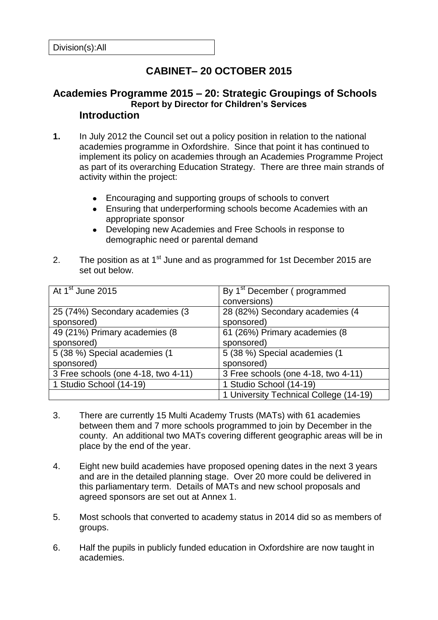# **CABINET– 20 OCTOBER 2015**

#### **Academies Programme 2015 – 20: Strategic Groupings of Schools Report by Director for Children's Services Introduction**

- **1.** In July 2012 the Council set out a policy position in relation to the national academies programme in Oxfordshire. Since that point it has continued to implement its policy on academies through an Academies Programme Project as part of its overarching Education Strategy. There are three main strands of activity within the project:
	- Encouraging and supporting groups of schools to convert
	- Ensuring that underperforming schools become Academies with an appropriate sponsor
	- Developing new Academies and Free Schools in response to demographic need or parental demand
- 2. The position as at  $1<sup>st</sup>$  June and as programmed for 1st December 2015 are set out below.

| At 1 <sup>st</sup> June 2015        | By 1 <sup>st</sup> December (programmed |
|-------------------------------------|-----------------------------------------|
|                                     | conversions)                            |
| 25 (74%) Secondary academies (3     | 28 (82%) Secondary academies (4         |
| sponsored)                          | sponsored)                              |
| 49 (21%) Primary academies (8       | 61 (26%) Primary academies (8           |
| sponsored)                          | sponsored)                              |
| 5 (38 %) Special academies (1       | 5 (38 %) Special academies (1           |
| sponsored)                          | sponsored)                              |
| 3 Free schools (one 4-18, two 4-11) | 3 Free schools (one 4-18, two 4-11)     |
| 1 Studio School (14-19)             | 1 Studio School (14-19)                 |
|                                     | 1 University Technical College (14-19)  |

- 3. There are currently 15 Multi Academy Trusts (MATs) with 61 academies between them and 7 more schools programmed to join by December in the county. An additional two MATs covering different geographic areas will be in place by the end of the year.
- 4. Eight new build academies have proposed opening dates in the next 3 years and are in the detailed planning stage. Over 20 more could be delivered in this parliamentary term. Details of MATs and new school proposals and agreed sponsors are set out at Annex 1.
- 5. Most schools that converted to academy status in 2014 did so as members of groups.
- 6. Half the pupils in publicly funded education in Oxfordshire are now taught in academies.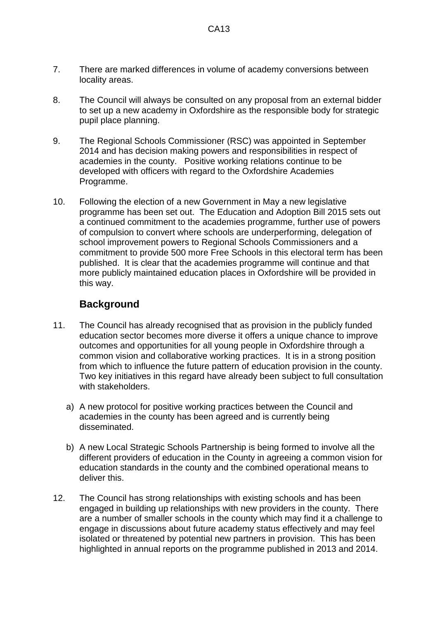- 7. There are marked differences in volume of academy conversions between locality areas.
- 8. The Council will always be consulted on any proposal from an external bidder to set up a new academy in Oxfordshire as the responsible body for strategic pupil place planning.
- 9. The Regional Schools Commissioner (RSC) was appointed in September 2014 and has decision making powers and responsibilities in respect of academies in the county. Positive working relations continue to be developed with officers with regard to the Oxfordshire Academies Programme.
- 10. Following the election of a new Government in May a new legislative programme has been set out. The Education and Adoption Bill 2015 sets out a continued commitment to the academies programme, further use of powers of compulsion to convert where schools are underperforming, delegation of school improvement powers to Regional Schools Commissioners and a commitment to provide 500 more Free Schools in this electoral term has been published. It is clear that the academies programme will continue and that more publicly maintained education places in Oxfordshire will be provided in this way.

## **Background**

- 11. The Council has already recognised that as provision in the publicly funded education sector becomes more diverse it offers a unique chance to improve outcomes and opportunities for all young people in Oxfordshire through a common vision and collaborative working practices. It is in a strong position from which to influence the future pattern of education provision in the county. Two key initiatives in this regard have already been subject to full consultation with stakeholders.
	- a) A new protocol for positive working practices between the Council and academies in the county has been agreed and is currently being disseminated.
	- b) A new Local Strategic Schools Partnership is being formed to involve all the different providers of education in the County in agreeing a common vision for education standards in the county and the combined operational means to deliver this.
- 12. The Council has strong relationships with existing schools and has been engaged in building up relationships with new providers in the county. There are a number of smaller schools in the county which may find it a challenge to engage in discussions about future academy status effectively and may feel isolated or threatened by potential new partners in provision. This has been highlighted in annual reports on the programme published in 2013 and 2014.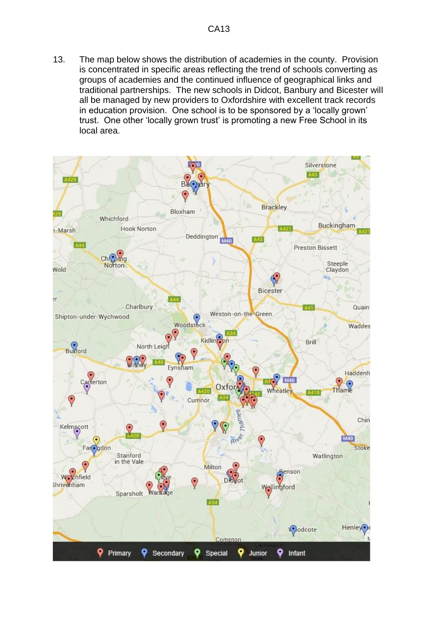13. The map below shows the distribution of academies in the county. Provision is concentrated in specific areas reflecting the trend of schools converting as groups of academies and the continued influence of geographical links and traditional partnerships. The new schools in Didcot, Banbury and Bicester will all be managed by new providers to Oxfordshire with excellent track records in education provision. One school is to be sponsored by a 'locally grown' trust. One other 'locally grown trust' is promoting a new Free School in its local area.

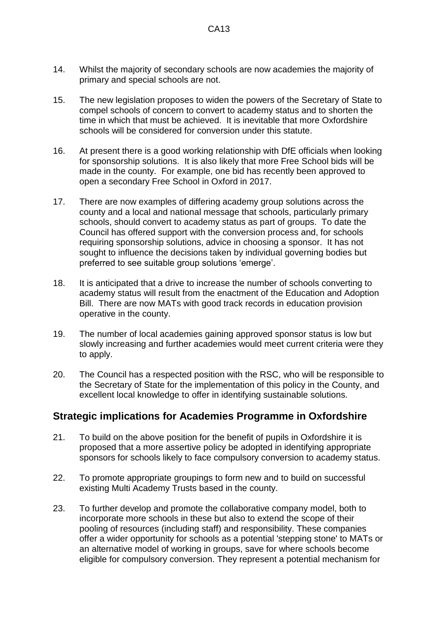- 14. Whilst the majority of secondary schools are now academies the majority of primary and special schools are not.
- 15. The new legislation proposes to widen the powers of the Secretary of State to compel schools of concern to convert to academy status and to shorten the time in which that must be achieved. It is inevitable that more Oxfordshire schools will be considered for conversion under this statute.
- 16. At present there is a good working relationship with DfE officials when looking for sponsorship solutions. It is also likely that more Free School bids will be made in the county. For example, one bid has recently been approved to open a secondary Free School in Oxford in 2017.
- 17. There are now examples of differing academy group solutions across the county and a local and national message that schools, particularly primary schools, should convert to academy status as part of groups. To date the Council has offered support with the conversion process and, for schools requiring sponsorship solutions, advice in choosing a sponsor. It has not sought to influence the decisions taken by individual governing bodies but preferred to see suitable group solutions 'emerge'.
- 18. It is anticipated that a drive to increase the number of schools converting to academy status will result from the enactment of the Education and Adoption Bill. There are now MATs with good track records in education provision operative in the county.
- 19. The number of local academies gaining approved sponsor status is low but slowly increasing and further academies would meet current criteria were they to apply.
- 20. The Council has a respected position with the RSC, who will be responsible to the Secretary of State for the implementation of this policy in the County, and excellent local knowledge to offer in identifying sustainable solutions.

#### **Strategic implications for Academies Programme in Oxfordshire**

- 21. To build on the above position for the benefit of pupils in Oxfordshire it is proposed that a more assertive policy be adopted in identifying appropriate sponsors for schools likely to face compulsory conversion to academy status.
- 22. To promote appropriate groupings to form new and to build on successful existing Multi Academy Trusts based in the county.
- 23. To further develop and promote the collaborative company model, both to incorporate more schools in these but also to extend the scope of their pooling of resources (including staff) and responsibility. These companies offer a wider opportunity for schools as a potential 'stepping stone' to MATs or an alternative model of working in groups, save for where schools become eligible for compulsory conversion. They represent a potential mechanism for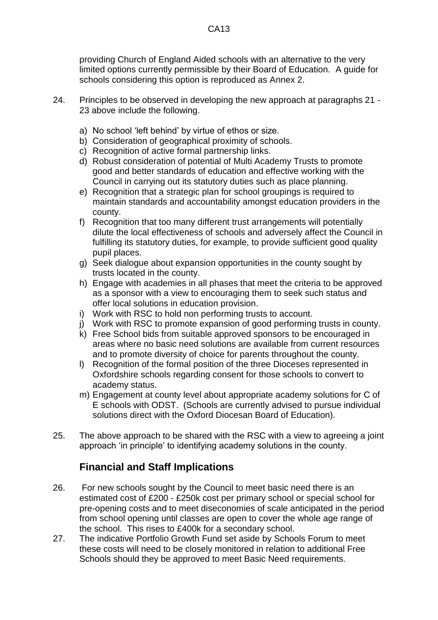providing Church of England Aided schools with an alternative to the very limited options currently permissible by their Board of Education. A guide for schools considering this option is reproduced as Annex 2.

- 24. Principles to be observed in developing the new approach at paragraphs 21 23 above include the following.
	- a) No school 'left behind' by virtue of ethos or size.
	- b) Consideration of geographical proximity of schools.
	- c) Recognition of active formal partnership links.
	- d) Robust consideration of potential of Multi Academy Trusts to promote good and better standards of education and effective working with the Council in carrying out its statutory duties such as place planning.
	- e) Recognition that a strategic plan for school groupings is required to maintain standards and accountability amongst education providers in the county.
	- f) Recognition that too many different trust arrangements will potentially dilute the local effectiveness of schools and adversely affect the Council in fulfilling its statutory duties, for example, to provide sufficient good quality pupil places.
	- g) Seek dialogue about expansion opportunities in the county sought by trusts located in the county.
	- h) Engage with academies in all phases that meet the criteria to be approved as a sponsor with a view to encouraging them to seek such status and offer local solutions in education provision.
	- i) Work with RSC to hold non performing trusts to account.
	- j) Work with RSC to promote expansion of good performing trusts in county.
	- k) Free School bids from suitable approved sponsors to be encouraged in areas where no basic need solutions are available from current resources and to promote diversity of choice for parents throughout the county.
	- l) Recognition of the formal position of the three Dioceses represented in Oxfordshire schools regarding consent for those schools to convert to academy status.
	- m) Engagement at county level about appropriate academy solutions for C of E schools with ODST. (Schools are currently advised to pursue individual solutions direct with the Oxford Diocesan Board of Education).
- 25. The above approach to be shared with the RSC with a view to agreeing a joint approach 'in principle' to identifying academy solutions in the county.

## **Financial and Staff Implications**

- 26. For new schools sought by the Council to meet basic need there is an estimated cost of £200 - £250k cost per primary school or special school for pre-opening costs and to meet diseconomies of scale anticipated in the period from school opening until classes are open to cover the whole age range of the school. This rises to £400k for a secondary school.
- 27. The indicative Portfolio Growth Fund set aside by Schools Forum to meet these costs will need to be closely monitored in relation to additional Free Schools should they be approved to meet Basic Need requirements.